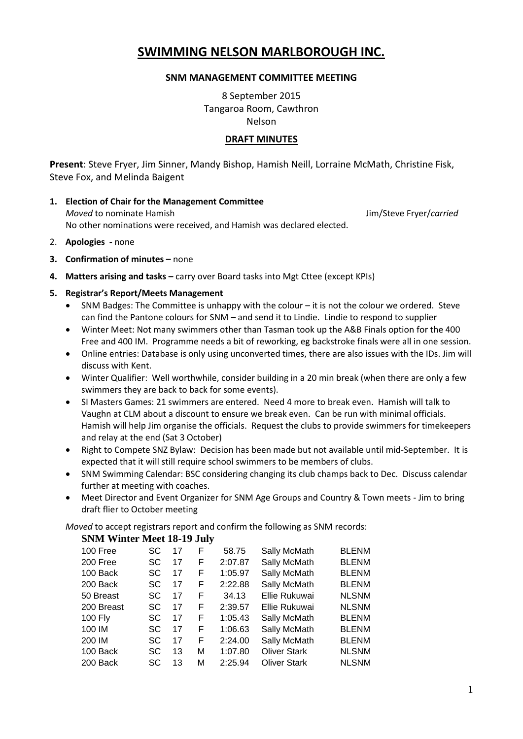# **SWIMMING NELSON MARLBOROUGH INC.**

# **SNM MANAGEMENT COMMITTEE MEETING**

8 September 2015 Tangaroa Room, Cawthron Nelson

# **DRAFT MINUTES**

**Present**: Steve Fryer, Jim Sinner, Mandy Bishop, Hamish Neill, Lorraine McMath, Christine Fisk, Steve Fox, and Melinda Baigent

- **1. Election of Chair for the Management Committee** *Moved* to nominate Hamish Jim/Steve Fryer/*carried* No other nominations were received, and Hamish was declared elected.
- 2. **Apologies -** none
- **3. Confirmation of minutes –** none
- **4. Matters arising and tasks –** carry over Board tasks into Mgt Cttee (except KPIs)

## **5. Registrar's Report/Meets Management**

- SNM Badges: The Committee is unhappy with the colour it is not the colour we ordered. Steve can find the Pantone colours for SNM – and send it to Lindie. Lindie to respond to supplier
- Winter Meet: Not many swimmers other than Tasman took up the A&B Finals option for the 400 Free and 400 IM. Programme needs a bit of reworking, eg backstroke finals were all in one session.
- Online entries: Database is only using unconverted times, there are also issues with the IDs. Jim will discuss with Kent.
- Winter Qualifier: Well worthwhile, consider building in a 20 min break (when there are only a few swimmers they are back to back for some events).
- SI Masters Games: 21 swimmers are entered. Need 4 more to break even. Hamish will talk to Vaughn at CLM about a discount to ensure we break even. Can be run with minimal officials. Hamish will help Jim organise the officials. Request the clubs to provide swimmers for timekeepers and relay at the end (Sat 3 October)
- Right to Compete SNZ Bylaw: Decision has been made but not available until mid-September. It is expected that it will still require school swimmers to be members of clubs.
- SNM Swimming Calendar: BSC considering changing its club champs back to Dec. Discuss calendar further at meeting with coaches.
- Meet Director and Event Organizer for SNM Age Groups and Country & Town meets Jim to bring draft flier to October meeting

*Moved* to accept registrars report and confirm the following as SNM records:

## **SNM Winter Meet 18-19 July**

| $D1111$ $D1211001$ $D12000$ $D20$ $D31$ |    |    |   |         |                     |              |
|-----------------------------------------|----|----|---|---------|---------------------|--------------|
| 100 Free                                | SC | 17 | F | 58.75   | Sally McMath        | <b>BLENM</b> |
| 200 Free                                | SC | 17 | F | 2:07.87 | Sally McMath        | <b>BLENM</b> |
| 100 Back                                | SC | 17 | F | 1:05.97 | Sally McMath        | <b>BLENM</b> |
| 200 Back                                | SC | 17 | F | 2:22.88 | Sally McMath        | <b>BLENM</b> |
| 50 Breast                               | SC | 17 | F | 34.13   | Ellie Rukuwai       | <b>NLSNM</b> |
| 200 Breast                              | SC | 17 | F | 2:39.57 | Ellie Rukuwai       | <b>NLSNM</b> |
| 100 $Fly$                               | SC | 17 | F | 1:05.43 | Sally McMath        | <b>BLENM</b> |
| 100 IM                                  | SC | 17 | F | 1:06.63 | Sally McMath        | <b>BLENM</b> |
| 200 IM                                  | SC | 17 | F | 2:24.00 | Sally McMath        | <b>BLENM</b> |
| 100 Back                                | SC | 13 | M | 1:07.80 | <b>Oliver Stark</b> | <b>NLSNM</b> |
| 200 Back                                | SC | 13 | M | 2:25.94 | <b>Oliver Stark</b> | <b>NLSNM</b> |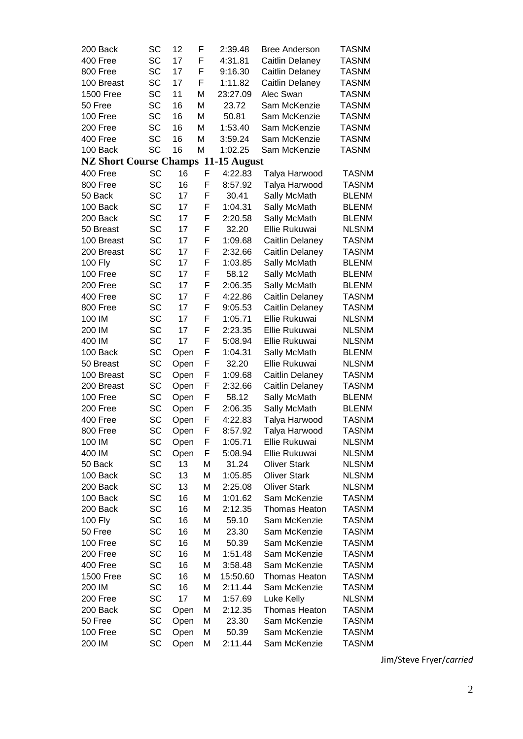| 200 Back                      | SC        | 12   | F | 2:39.48      | <b>Bree Anderson</b> | <b>TASNM</b> |
|-------------------------------|-----------|------|---|--------------|----------------------|--------------|
| 400 Free                      | SC        | 17   | F | 4:31.81      | Caitlin Delaney      | <b>TASNM</b> |
| 800 Free                      | SC        | 17   | F | 9:16.30      | Caitlin Delaney      | <b>TASNM</b> |
| 100 Breast                    | SC        | 17   | F | 1:11.82      | Caitlin Delaney      | <b>TASNM</b> |
| <b>1500 Free</b>              | <b>SC</b> | 11   | M | 23:27.09     | Alec Swan            | <b>TASNM</b> |
| 50 Free                       | SC        | 16   | M | 23.72        | Sam McKenzie         | <b>TASNM</b> |
| 100 Free                      | SC        | 16   | M | 50.81        | Sam McKenzie         | <b>TASNM</b> |
| 200 Free                      | SC        | 16   | M | 1:53.40      | Sam McKenzie         | <b>TASNM</b> |
| 400 Free                      | SC        | 16   | M | 3:59.24      | Sam McKenzie         | <b>TASNM</b> |
| 100 Back                      | SC        | 16   | M | 1:02.25      | Sam McKenzie         | <b>TASNM</b> |
| <b>NZ Short Course Champs</b> |           |      |   | 11-15 August |                      |              |
| 400 Free                      | SC        | 16   | F | 4:22.83      | Talya Harwood        | <b>TASNM</b> |
| 800 Free                      | <b>SC</b> | 16   | F | 8:57.92      | Talya Harwood        | <b>TASNM</b> |
| 50 Back                       | SC        | 17   | F | 30.41        | Sally McMath         | <b>BLENM</b> |
| 100 Back                      | SC        | 17   | F | 1:04.31      | Sally McMath         | <b>BLENM</b> |
| 200 Back                      | SC        | 17   | F | 2:20.58      | Sally McMath         | <b>BLENM</b> |
| 50 Breast                     | <b>SC</b> | 17   | F | 32.20        | Ellie Rukuwai        | <b>NLSNM</b> |
| 100 Breast                    | SC        | 17   | F | 1:09.68      |                      | <b>TASNM</b> |
|                               | SC        | 17   | F |              | Caitlin Delaney      | <b>TASNM</b> |
| 200 Breast                    | SC        | 17   | F | 2:32.66      | Caitlin Delaney      | <b>BLENM</b> |
| 100 Fly                       |           |      |   | 1:03.85      | Sally McMath         |              |
| 100 Free                      | <b>SC</b> | 17   | F | 58.12        | Sally McMath         | <b>BLENM</b> |
| 200 Free                      | SC        | 17   | F | 2:06.35      | Sally McMath         | <b>BLENM</b> |
| 400 Free                      | SC        | 17   | F | 4:22.86      | Caitlin Delaney      | <b>TASNM</b> |
| 800 Free                      | SC        | 17   | F | 9:05.53      | Caitlin Delaney      | <b>TASNM</b> |
| 100 IM                        | SC        | 17   | F | 1:05.71      | Ellie Rukuwai        | <b>NLSNM</b> |
| 200 IM                        | SC        | 17   | F | 2:23.35      | Ellie Rukuwai        | <b>NLSNM</b> |
| 400 IM                        | SC        | 17   | F | 5:08.94      | Ellie Rukuwai        | <b>NLSNM</b> |
| 100 Back                      | SC        | Open | F | 1:04.31      | Sally McMath         | <b>BLENM</b> |
| 50 Breast                     | SC        | Open | F | 32.20        | Ellie Rukuwai        | <b>NLSNM</b> |
| 100 Breast                    | SC        | Open | F | 1:09.68      | Caitlin Delaney      | <b>TASNM</b> |
| 200 Breast                    | SC        | Open | F | 2:32.66      | Caitlin Delaney      | <b>TASNM</b> |
| 100 Free                      | SC        | Open | F | 58.12        | Sally McMath         | <b>BLENM</b> |
| 200 Free                      | SC        | Open | F | 2:06.35      | Sally McMath         | <b>BLENM</b> |
| 400 Free                      | SC        | Open | F | 4:22.83      | Talya Harwood        | <b>TASNM</b> |
| 800 Free                      | SC        | Open | F | 8:57.92      | Talya Harwood        | <b>TASNM</b> |
| 100 IM                        | SC        | Open | F | 1:05.71      | Ellie Rukuwai        | <b>NLSNM</b> |
| 400 IM                        | SC        | Open | F | 5:08.94      | Ellie Rukuwai        | <b>NLSNM</b> |
| 50 Back                       | SC        | 13   | M | 31.24        | <b>Oliver Stark</b>  | <b>NLSNM</b> |
| 100 Back                      | SC        | 13   | M | 1:05.85      | <b>Oliver Stark</b>  | <b>NLSNM</b> |
| 200 Back                      | SC        | 13   | M | 2:25.08      | <b>Oliver Stark</b>  | <b>NLSNM</b> |
| 100 Back                      | SC        | 16   | M | 1:01.62      | Sam McKenzie         | <b>TASNM</b> |
| 200 Back                      | SC        | 16   | M | 2:12.35      | Thomas Heaton        | <b>TASNM</b> |
| 100 Fly                       | SC        | 16   | M | 59.10        | Sam McKenzie         | <b>TASNM</b> |
| 50 Free                       | SC        | 16   | M | 23.30        | Sam McKenzie         | <b>TASNM</b> |
| 100 Free                      | SC        | 16   | M | 50.39        | Sam McKenzie         | <b>TASNM</b> |
| 200 Free                      | SC        | 16   | M | 1:51.48      | Sam McKenzie         | <b>TASNM</b> |
| 400 Free                      | SC        | 16   | M | 3:58.48      | Sam McKenzie         | <b>TASNM</b> |
| <b>1500 Free</b>              | SC        | 16   | M | 15:50.60     | <b>Thomas Heaton</b> | <b>TASNM</b> |
| 200 IM                        | SC        | 16   | M | 2:11.44      | Sam McKenzie         | <b>TASNM</b> |
| 200 Free                      | SC        | 17   | M | 1:57.69      | Luke Kelly           | <b>NLSNM</b> |
| 200 Back                      | SC        | Open | M | 2:12.35      | <b>Thomas Heaton</b> | <b>TASNM</b> |
| 50 Free                       | SC        | Open | M | 23.30        | Sam McKenzie         | <b>TASNM</b> |
| 100 Free                      | SC        | Open | M | 50.39        | Sam McKenzie         | <b>TASNM</b> |
| 200 IM                        | SC        | Open | M | 2:11.44      | Sam McKenzie         | <b>TASNM</b> |
|                               |           |      |   |              |                      |              |

Jim/Steve Fryer/*carried*